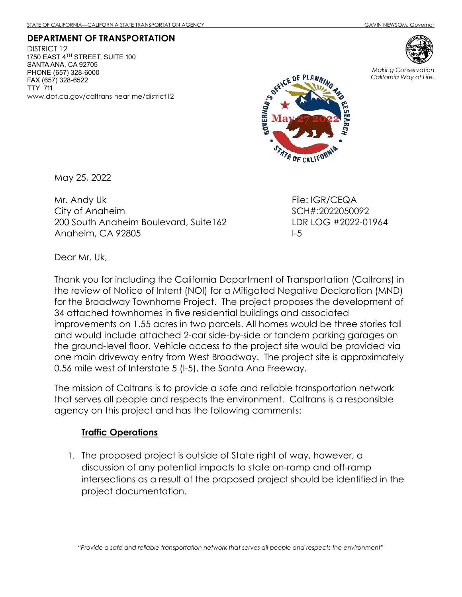DEPARTMENT OF TRANSPORTATION DISTRICT 12 1750 EAST 4 $^{TH}$  STREET, SUITE 100 SANTA ANA, CA 92705 PHONE (657) 328-6000 FAX (657) 328-6522 TTY 711 www.dot.ca.gov/caltrans-near-me/district12



May 25, 2022

Mr. Andy Uk City of Anaheim 200 South Anaheim Boulevard, Suite162 Anaheim, CA 92805

File: IGR/CEQA SCH#:2022050092 LDR LOG #2022-01964 I-5

Dear Mr. Uk,

Thank you for including the California Department of Transportation (Caltrans) in the review of Notice of Intent (NOI) for a Mitigated Negative Declaration (MND) for the Broadway Townhome Project. The project proposes the development of 34 attached townhomes in five residential buildings and associated improvements on 1.55 acres in two parcels. All homes would be three stories tall and would include attached 2-car side-by-side or tandem parking garages on the ground-level floor. Vehicle access to the project site would be provided via one main driveway entry from West Broadway. The project site is approximately 0.56 mile west of Interstate 5 (I-5), the Santa Ana Freeway.

The mission of Caltrans is to provide a safe and reliable transportation network that serves all people and respects the environment. Caltrans is a responsible agency on this project and has the following comments:

## Traffic Operations

1. The proposed project is outside of State right of way, however, a discussion of any potential impacts to state on-ramp and off-ramp intersections as a result of the proposed project should be identified in the project documentation.



Making Conservation California Way of Life.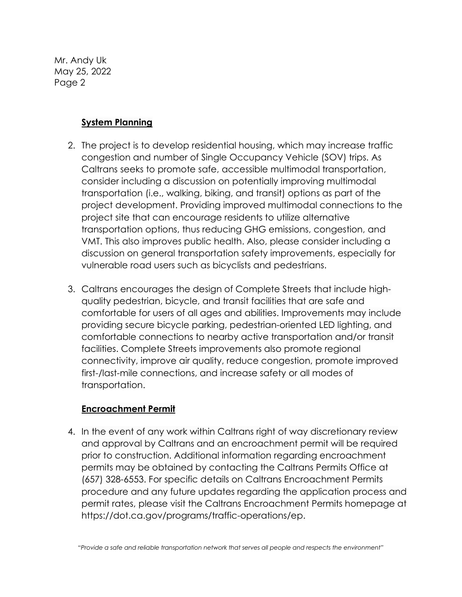Mr. Andy Uk May 25, 2022 Page 2

## System Planning

- 2. The project is to develop residential housing, which may increase traffic congestion and number of Single Occupancy Vehicle (SOV) trips. As Caltrans seeks to promote safe, accessible multimodal transportation, consider including a discussion on potentially improving multimodal transportation (i.e., walking, biking, and transit) options as part of the project development. Providing improved multimodal connections to the project site that can encourage residents to utilize alternative transportation options, thus reducing GHG emissions, congestion, and VMT. This also improves public health. Also, please consider including a discussion on general transportation safety improvements, especially for vulnerable road users such as bicyclists and pedestrians.
- 3. Caltrans encourages the design of Complete Streets that include highquality pedestrian, bicycle, and transit facilities that are safe and comfortable for users of all ages and abilities. Improvements may include providing secure bicycle parking, pedestrian-oriented LED lighting, and comfortable connections to nearby active transportation and/or transit facilities. Complete Streets improvements also promote regional connectivity, improve air quality, reduce congestion, promote improved first-/last-mile connections, and increase safety or all modes of transportation.

## Encroachment Permit

4. In the event of any work within Caltrans right of way discretionary review and approval by Caltrans and an encroachment permit will be required prior to construction. Additional information regarding encroachment permits may be obtained by contacting the Caltrans Permits Office at (657) 328-6553. For specific details on Caltrans Encroachment Permits procedure and any future updates regarding the application process and permit rates, please visit the Caltrans Encroachment Permits homepage at https://dot.ca.gov/programs/traffic-operations/ep.